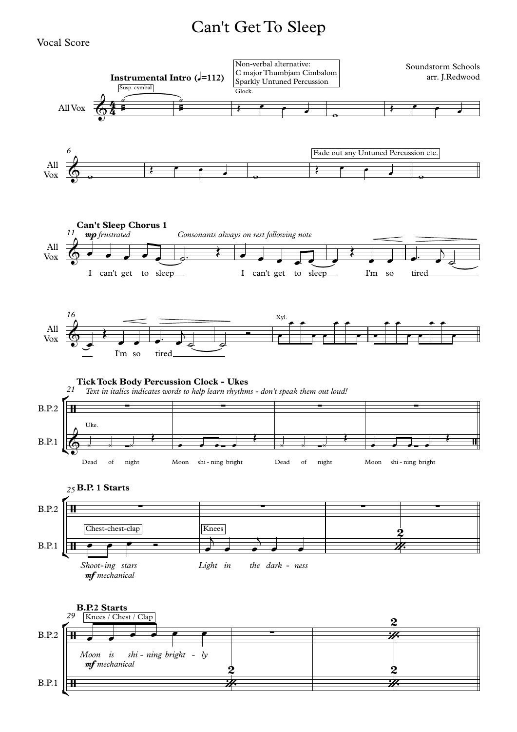## Can't Get To Sleep

## Vocal Score

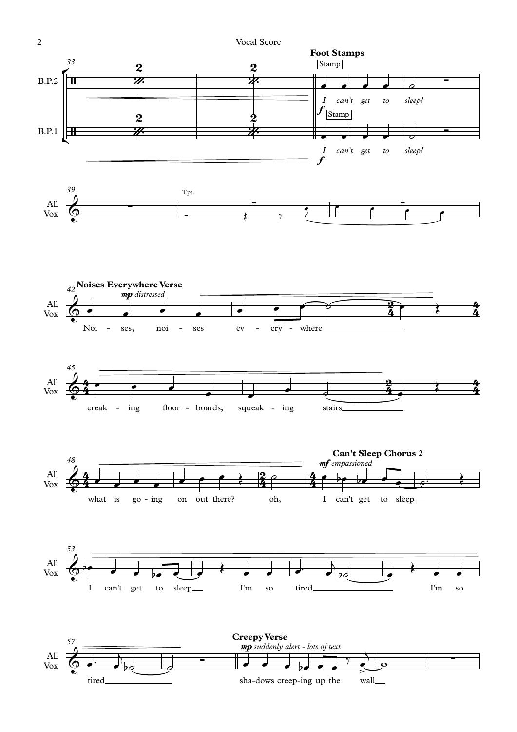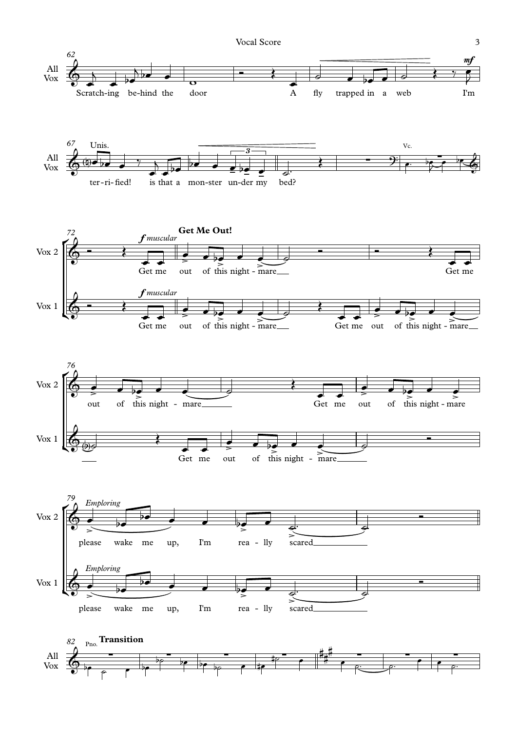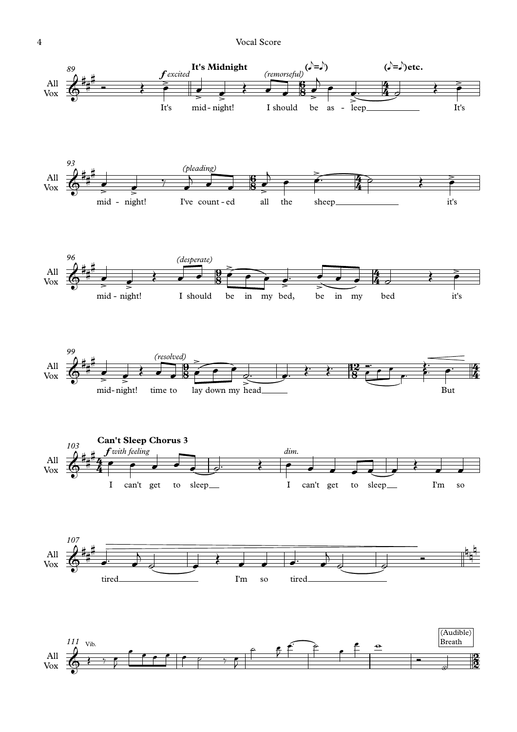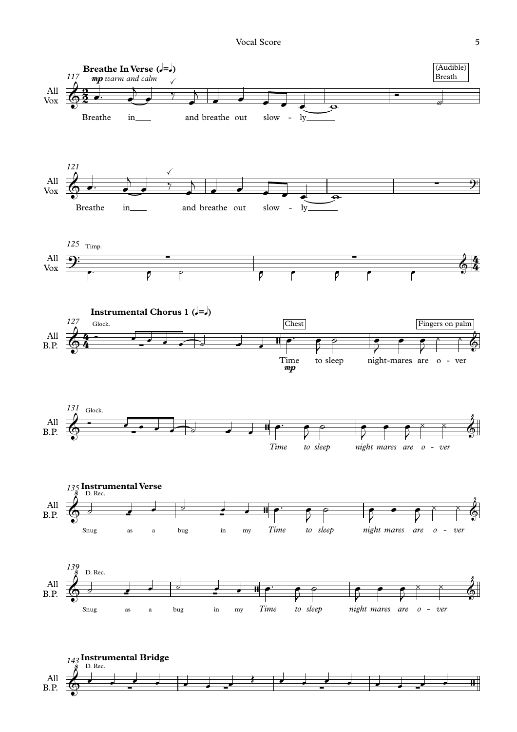Vocal Score 5